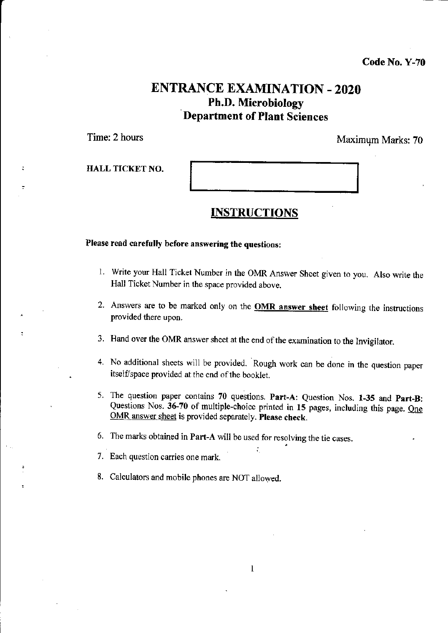Code No. Y-70

# ENTRANCE EXAMINATION - 2O2O Ph.D. Microbiology Department of Plant Sciences

Time: 2 hours **Maximum Marks: 70** Maximum Marks: 70

HALL TICKET NO.

# INSTRUCTIONS

Please read carefully before answering the questions:

- 1. Write your Hall Ticket Number in the OMR Answer Sheet given to you. Also write the Hall Ticket Number in the space provided above.
- 2. Answers are to be marked only on the **OMR answer sheet** following the instructions provided there upon.
- 3. Hand over the OMR answer sheet at the end of the examination to the Invigilator.
- 4. No additional sheets will be provided. Rough work can be done in the question paper itself/space provided at the end of the booklet.
- 5. The question paper contains 70 questions. Part-A: Question Nos. 1-35 and Part-B: Questions Nos. 36-70 of multiple-choice printed in 15 pages, including this page. One OMR answer sheet is provided separately. Please check.
- 6. The marks obtained in Part-A will be used for resolving the tie cases.
- 7. Each question carries one mark.
- 8. Calculators and mobile phones are NOT allowed.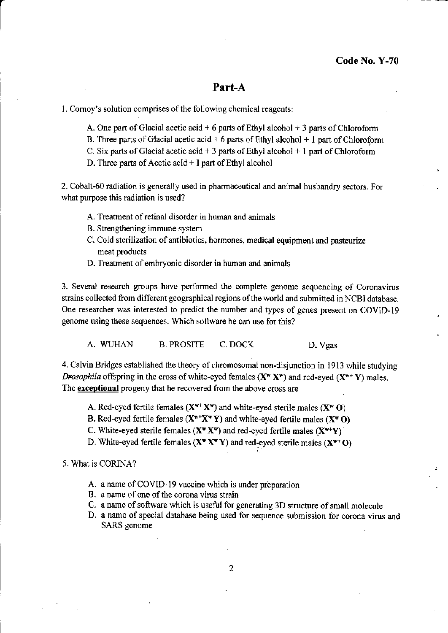### Part-A

1. Cornoy's solution comprises of the following chemical reagents:

- A. One part of Glacial acetic acid + 6 parts of Ethyl alcohol + 3 parts of Chloroform
- B. Three parts of Glacial acetic acid + 6 parts of Ethyl alcohol + 1 part of Chloroform
- C. Six parts of Glacial acetic acid  $+3$  parts of Ethyl alcohol  $+1$  part of Chloroform
- D. Three parts of Acetic acid  $+$  I part of Ethyl alcohol

2. Cobalt-60 radiation is generally used in pharmaceutical and animal husbandry sectors. For what purpose this radiation is used?

- A. Treatment of retinal disorder in human and animals
- B. Strengthening immune system
- C. Cold sterilization of antibiotics, hormones, medical equipment and pasteurize meat products
- D. Treatment of embryonic disorder in human and animals

3. Several reseaxch groups have performed the complete genome sequencing of Coronavirus strains collected from different geographical regions of the world and submitted in NCBI database. One researcher was interested to predict the number and types of genes present on COVID-I9 genome using these sequences. Which software he can use for this?

A, WUHAN B. PROSITE C. DOCK D. Vgas

4. Calvin Bridges established the theory of chromosomal non-disjunction in 1913 while studying Drosophila offspring in the cross of white-eyed females  $(X^w X^w)$  and red-eyed  $(X^{w+} Y)$  males. The exceptional progeny that he recovered from the above cross are

- A. Red-eyed fertile females  $(X^{w+}X^w)$  and white-eyed sterile males  $(X^w 0)$
- B. Red-eyed fertile females  $(X^{w+}X^wY)$  and white-eyed fertile males  $(X^wO)$
- C. White-eyed sterile females ( $X^*X^*$ ) and red-eyed fertile males  $(X^{*+}Y)$
- D. White-eyed fertile females  $(X^* X^* Y)$  and red-eyed sterile males  $(X^{*} O)$

### 5. What is CORINA?

- A. a name of COVID-19 vaccine which is under preparation
- B. a name of one of the corona virus strain
- C. a name of software which is useful for generating 3D structure of small molecule
- D, a name of special database being used for sequence submission for corona virus and SARS genome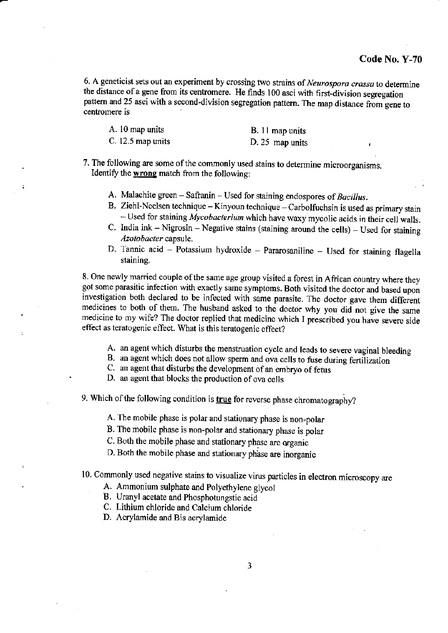6. A geneticist sets out an experiment by crossing two strains of Neurospora crassa to determine the distance of a gene from its centromere. He finds 100 asci with first-division segregation pattern and 25 asci with a second-division segregation pattern. The map distance from gene to centromere is

| A. 10 map units     | B. 11 map units |
|---------------------|-----------------|
| $C. 12.5$ map units | D. 25 map units |

7. The following are some of the commonly used stains to determine microorganisms. Identify the wrong match from the following:

- A. Malachite green  $-$  Safranin  $-$  Used for staining endospores of *Bacillus*.
- B. Ziehl-Neelsen technique Kinyoun technique Carbolfuchsin is used as primary stain  $-$  Used for staining *Mycobacterium* which have waxy mycolic acids in their cell walls.
- C. India ink  $-$  Nigrosin  $-$  Negative stains (staining around the cells)  $-$  Used for staining Azotobacter capsule.
- D. Tannic acid  $-$  Potassium hydroxide  $-$  Pararosaniline  $-$  Used for staining flagella staining.

8. One newly married couple of the same age group visited a forest in African country where they got some parasitic infection with exactly same symptoms. Both visited the doctor and based upon investigation both declared to be infected with same parasite. The doctor gave them different medicines to both of them. The husband asked to the doctor why you did not give the same medicine to my wife? The doctor replied that medicine which I prescribed you have severe side effect as teratogenic effect. What is this teratogenic effect?

- A. an agent which disturbs the menstruation cycle and leads to severe vaginal bleeding B. an agent which does not allow sperm and ova cells to fuse during fertilization
- 
- C. an agent that disturbs the development of an embryo of fetus

D. an agent that blocks the production of ova cells

9. Which of the following condition is true for reverse phase chromatography?

A. The mobile phase is polar and stationary phase is non-polar

B. The mobile phase is non-polar and stationary phase is polar

C. Both the mobile phase and stationary phase are organic

D. Both the mobile phase and stationary phase are inorganic

# 10. Commonly used negative stains to visualize virus particles in electron microscopy are

A. Ammonium sulphate and Polyethylene glycol

B. Uranyl acetate and Phosphotungstic acid

C. Lithium chloride and Calcium chloride

D. Acrylamide and Bis acrylamide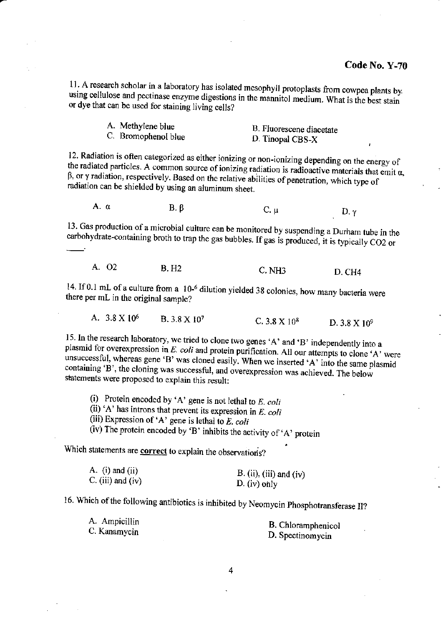11. A research scholar in a laboratory has isolated mesophyll protoplasts from cowpea plants by. using cellulose and pectinase enzyme digestions in the mannitol medium. What is the best stain or dye that can be used for staining living cells?

| A. Methylene blue   | B. Fluorescene diacetate |
|---------------------|--------------------------|
| C. Bromophenol blue | D. Tinopal CBS-X         |

12. Radiation is often categorized as either ionizing or non-ionizing depending on the energy of the radiated particles. A common source of ionizing radiation is radioactive materials that emit  $\alpha$ ,  $\beta$ , or  $\gamma$  radiation, respectively. Based on the relative abilities of penetration, which type of radiation can be shielded by using an aluminum sheet.

A. α  $B. \beta$  $C. \mu$  $D. \gamma$ 

13. Gas production of a microbial culture can be monitored by suspending a Durham tube in the carbohydrate-containing broth to trap the gas bubbles. If gas is produced, it is typically CO2 or

| A. QZ<br>B. H <sub>2</sub> | $C.$ NH3 | <b>D. CH4</b> |
|----------------------------|----------|---------------|
|----------------------------|----------|---------------|

14. If 0.1 mL of a culture from a 10-<sup>6</sup> dilution yielded 38 colonies, how many bacteria were there per mL in the original sample?

A. 3.8 X 10<sup>6</sup> B. 3.8 X 107 C. 3.8  $X$  10<sup>8</sup> D.  $3.8 \text{ X} 10^9$ 

15. In the research laboratory, we tried to clone two genes 'A' and 'B' independently into a plasmid for overexpression in E. coli and protein purification. All our attempts to clone 'A' were unsuccessful, whereas gene 'B' was cloned easily. When we inserted 'A' into the same plasmid containing 'B', the cloning was successful, and overexpression was achieved. The below statements were proposed to explain this result:

(i) Protein encoded by 'A' gene is not lethal to  $E$ , coli

(ii) 'A' has introns that prevent its expression in  $E$ . coli

(iii) Expression of 'A' gene is lethal to E. coli

(iv) The protein encoded by 'B' inhibits the activity of 'A' protein

Which statements are **correct** to explain the observations?

| A. $(i)$ and $(ii)$ | B. (ii), (iii) and (iv) |
|---------------------|-------------------------|
| $C.$ (iii) and (iv) | $D. (iv)$ only          |

16. Which of the following antibiotics is inhibited by Neomycin Phosphotransferase II?

A. Ampicillin C. Kanamycin

B. Chloramphenicol D. Spectinomycin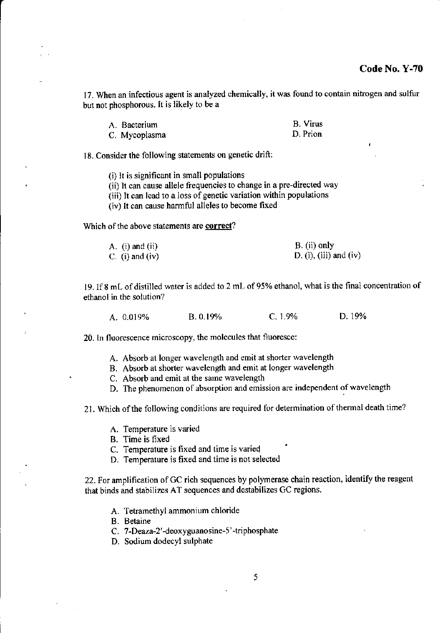17. When an infectious agent is analyzed chemically, it was found to contain nitrogen and sulfur but not phosphorous. It is likely to be a

| A. Bacterium  | <b>B.</b> Virus |
|---------------|-----------------|
| C. Mycoplasma | D. Prion        |

18. Consider the following statements on genetic drift:

(i) It is significant in small populations

(ii) It can cause allele frequencies to change in a pre-directed way

(iii) It can lead to a loss of genetic variation within populations

(iv) lt can cause harmful alleles to become fixed

Which of the above statements are correct?

| A. $(i)$ and $(ii)$ | B. (ii) only           |
|---------------------|------------------------|
| C. (i) and (iv)     | D. (i), (iii) and (iv) |

19. If 8 mL of distilled water is added to 2 mL of 95% ethanol, what is the final concentration of ethanol in the solution?

| A. 0.019% . | B. 0.19% | $C. 1.9\%$ | D. 19% |
|-------------|----------|------------|--------|
|             |          |            |        |

20. ln fluorescence microscopy, the molecules that fluoresce:

- A. Absorb at longer wavelength and emit at shorter wavelength
- B. Absorb at shorter wavelength and emit at longer wavelength
- C. Absorb and emit at the same wavelength
- D. The phenomenon of absorption and emission are independent of wavelength

21. Which of the following conditions are required for determination of thermal death time?

- A. Temperature is varied
- B. Time is fixed
- C. Temperatue is fixed and time is varied
- D. Temperature is fixed and time is not selected

22. For amplification of GC rich sequences by polymerase chain reaction, identify the reagent that binds and stabilizes AT sequences and destabilizes GC regions

- A. Tetramethyl ammonium chloride
- B. Betaine
- C. 7-Deaza-2'-deoxy guanosine-5'-triphosphate
- D. Sodium dodecyl sulphate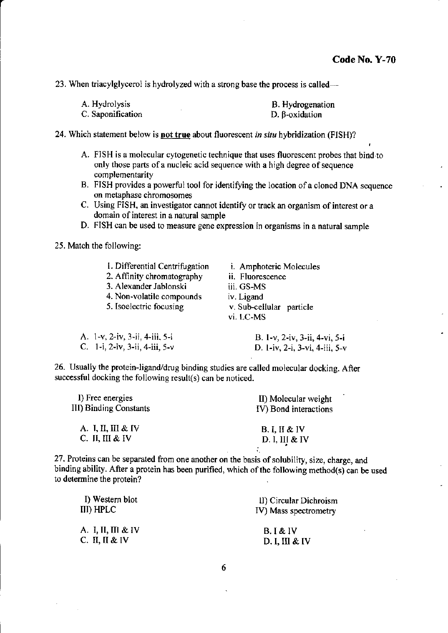23. When triacylglycerol is hydrolyzed with a strong base the process is called—

| A. Hydrolysis     | B. Hydrogenation      |
|-------------------|-----------------------|
| C. Saponification | $D. \beta$ -oxidation |

24. Which statement below is not true about fluorescent in situ hybridization (FISH)?

- A. FISH is a molecular cytogenetic technique that uses fluorescent probes that bind to only those parts of a nucleic acid sequence with a high degree of sequence complementarity
- B. FISH provides a powerful tool for identifying the location of a cloned DNA sequence on metaphase chromosomes
- C. Using FISH, an investigator cannot identify or track an organism of interest or a domain of interest in a natural sample
- D. FISH can be used to measure gene expression in organisms in a natural sample

25. Match the following:

| 1. Differential Centrifugation<br>2. Affinity chromatography<br>3. Alexander Jablonski<br>4. Non-volatile compounds<br>5. Isoelectric focusing | <i>i.</i> Amphoteric Molecules<br>ii. Fluorescence<br>iii. GS-MS<br>iv. Ligand<br>v. Sub-cellular particle |
|------------------------------------------------------------------------------------------------------------------------------------------------|------------------------------------------------------------------------------------------------------------|
| A. 1-v, 2-iv, 3-ii, 4-iii, 5-i                                                                                                                 | vi. LC-MS<br>B. 1-v, 2-iv, 3-ii, 4-vi, 5-i                                                                 |
| C. 1-i, 2-iv, 3-ii, 4-iii, $5-v$                                                                                                               | D. 1-iv, 2-i, 3-vi, 4-iii, 5-v                                                                             |

26. Usually the protein-ligand/drug binding studies are called molecular docking. After successful docking the following result(s) can be noticed.

| I) Free energies<br>III) Binding Constants | II) Molecular weight<br>IV) Bond interactions |  |
|--------------------------------------------|-----------------------------------------------|--|
| A. I, II, III & IV                         | B, I, II & W                                  |  |
| C. II, III & IV                            | D. I, III & IV                                |  |
|                                            |                                               |  |

27. Proteins can be separated from one another on the basis of solubility, size, charge, and binding ability. After a protein has been purified, which of the following method(s) can be used to determine the protein?

| I) Western blot            | II) Circular Dichroism |
|----------------------------|------------------------|
| III) HPLC                  | IV) Mass spectrometry  |
| A. I, II, III & IV         | B.I & IV               |
| C. $\Pi$ , $\Pi \& \nabla$ | D. I, III & IV         |

6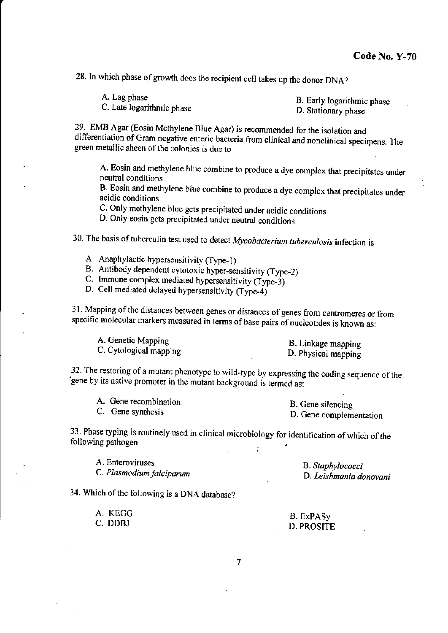28. In which phase of growth does the recipient cell takes up the donor DNA?

| A. Lag phase              | B. Early logarithmic phase |
|---------------------------|----------------------------|
| C. Late logarithmic phase | D. Stationary phase        |

29. EMB Agar (Eosin Methylene Blue Agar) is recommended for the isolation and differentiation of Gram negative enteric bacteria from clinical and nonclinical specimens. The green metallic sheen of the colonies is due to

A. Eosin and methylene blue combine to produce a dye complex that precipitates under neutral conditions

B. Eosin and methylene blue combine to produce a dye complex that precipitates under acidic conditions

C. Only methylene blue gets precipitated under acidic conditions

D. Only eosin gets precipitated under neutral conditions

30. The basis of tuberculin test used to detect Mycobacterium tuberculosis infection is

- A. Anaphylactic hypersensitivity (Type-1)
- B. Antibody dependent cytotoxic hyper-sensitivity (Type-2)
- C. Immune complex mediated hypersensitivity (Type-3)

D. Cell mediated delayed hypersensitivity (Type-4)

31. Mapping of the distances between genes or distances of genes from centromeres or from specific molecular markers measured in terms of base pairs of nucleotides is known as:

| A. Genetic Mapping     | B. Linkage mapping  |
|------------------------|---------------------|
| C. Cytological mapping | D. Physical mapping |

32. The restoring of a mutant phenotype to wild-type by expressing the coding sequence of the gene by its native promoter in the mutant background is termed as:

| A. Gene recombination | B. Gene silencing       |
|-----------------------|-------------------------|
| C. Gene synthesis     | D. Gene complementation |

33. Phase typing is routinely used in clinical microbiology for identification of which of the following pathogen ÷.

A. Enteroviruses C. Plasmodium falciparum

B. Staphylococci D. Leishmania donovani

34. Which of the following is a DNA database?

| A. KEGG | B. ExPASy  |
|---------|------------|
| C. DDBJ | D. PROSITE |

 $\overline{7}$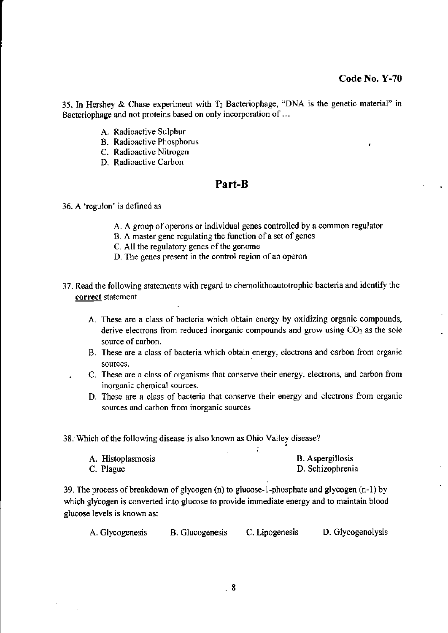35. In Hershey & Chase experiment with  $T_2$  Bacteriophage, "DNA is the genetic material" in Bacteriophage and not proteins based on only incorporation of . . .

- A. Radioactive Sulphur
- B. Radioactive Phosphorus
- C. Radioactive Nitrogen
- D. Radioactive Carbon

### Part-B

#### 36. A'regulon' is defined as

- A. A group of operons or individual genes controlled by a common regulator
- B. A master gene regulating the function of a set of genes
- C. All the regulatory genes of the genome
- D. The genes present in the control region of an operon
- 37. Read the following statements with regard to chemolithoautotrophic bacteria and identiry the correct statement
	- A. These are a class of bacteria which obtain energy by oxidizing organic compounds. derive electrons from reduced inorganic compounds and grow using  $CO<sub>2</sub>$  as the sole source of carbon.
	- B. These are a class of bacteria which obtain energy, electrons and carbon from organic sources,
	- C. These are a class of organisms that conserve their energy, electrons, and carbon from inorganic chemical sources.
	- D. These are a class of bacteria that conserve their energy and electrons ftom organic sources and carbon fiom inorganic sources

38. Which of the following disease is also known as Ohio Valley disease?

| A. Histoplasmosis |  | <b>B.</b> Aspergillosis |
|-------------------|--|-------------------------|
| C. Plague         |  | D. Schizophrenia        |

39. The process of breakdown of glycogen (n) to glucose-1-phosphate and glycogen (n-1) by which glycogen is converted into glucose to provide immediate energy and to maintain blood glucose levels is known as:

A. Glycogenesis B. Clucogenesis C. Lipogenesis D. Glycogenolysis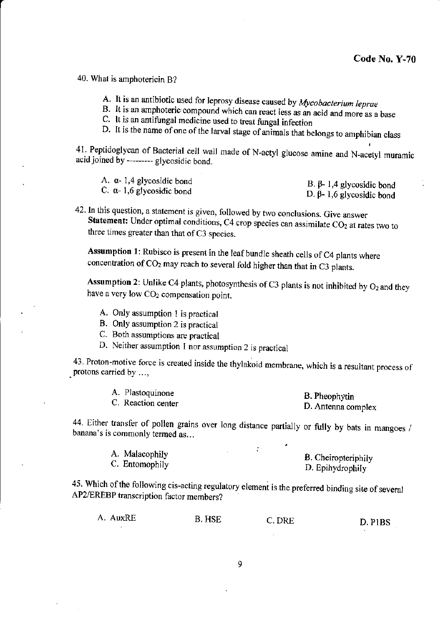40. What is amphotericin B?

- A. It is an antibiotic used for leprosy disease caused by Mycobacterium leprae
- B. It is an amphoteric compound which can react less as an acid and more as a base
- C. It is an antifungal medicine used to treat fungal infection
- D. It is the name of one of the larval stage of animals that belongs to amphibian class

41. Peptidoglycan of Bacterial cell wall made of N-actyl glucose amine and N-acetyl muramic acid joined by --------- glycosidic bond.

| A. α- 1,4 glycosidic bond         | B. β-1,4 glycosidic bond         |
|-----------------------------------|----------------------------------|
| C. $\alpha$ - 1,6 glycosidic bond | D. $\beta$ - 1,6 glycosidic bond |

42. In this question, a statement is given, followed by two conclusions. Give answer Statement: Under optimal conditions, C4 crop species can assimilate CO<sub>2</sub> at rates two to three times greater than that of C3 species.

Assumption 1: Rubisco is present in the leaf bundle sheath cells of C4 plants where concentration of CO<sub>2</sub> may reach to several fold higher than that in C3 plants.

Assumption 2: Unlike C4 plants, photosynthesis of C3 plants is not inhibited by  $O<sub>2</sub>$  and they have a very low CO<sub>2</sub> compensation point.

- A. Only assumption 1 is practical
- B. Only assumption 2 is practical
- C. Both assumptions are practical
- D. Neither assumption 1 nor assumption 2 is practical

43. Proton-motive force is created inside the thylakoid membrane, which is a resultant process of protons carried by ...,

| A. Plastoquinone   | B. Pheophytin      |
|--------------------|--------------------|
| C. Reaction center | D. Antenna complex |

44. Either transfer of pollen grains over long distance partially or fully by bats in mangoes / banana's is commonly termed as...

| A. Malacophily |  | B. Cheiropteriphily |
|----------------|--|---------------------|
| C. Entomophily |  | D. Epihydrophily    |

45. Which of the following cis-acting regulatory element is the preferred binding site of several AP2/EREBP transcription factor members?

| A. AuxRE | <b>B. HSE</b> | C. DRE | D. PIBS |
|----------|---------------|--------|---------|
|          |               |        |         |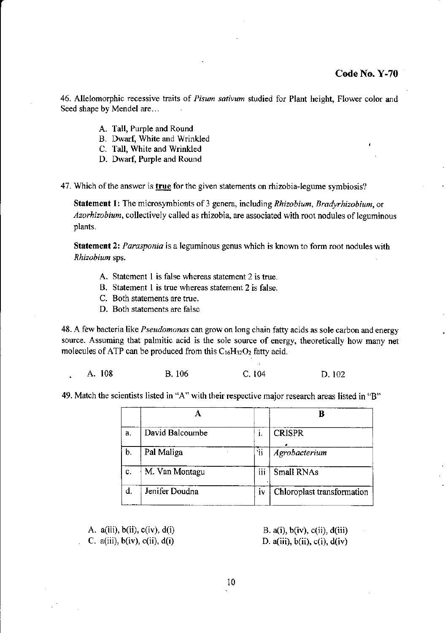46. Allelomorphic recessive traits of Pisum sativum studied for Plant height, Flower color and Seed shape by Mendel are...

- A. Tall, Purple and Round
- B. Dwarf, White and Wrinkled
- C. Tall, White and Wrinkled
- D. Dwarf, Purple and Round

47. Which of the answer is true for the given statements on rhizobia-legume symbiosis?

Statement 1: The microsymbionts of 3 genera, including Rhizobium, Bradyrhizobium, or Azorhizobium, collectively called as rhizobia, are associated with root nodules of leguminous plants.

Statement 2: Parasponia is a leguminous genus which is known to form root nodules with Rhizobium sps,

- A. Statement I is false whereas statement 2 is true.
- B. Statement I is true whereas statement 2 is false.
- C. Both statements are true.
- D. Both statements are false

48. A few bacteria like *Pseudomonas* can grow on long chain fatty acids as sole carbon and energy source. Assuming that palmitic acid is the sole souce of energy, theoretically how many net molecules of ATP can be produced from this  $C_{16}H_{32}O_2$  fatty acid.

. A. 108 B. 106 C. 104 D. 102

49, Match the scientists listed in "A" with their respective maior research areas listed in "B"

|    |                 |     | Р                          |
|----|-----------------|-----|----------------------------|
| a. | David Balcoumbe | I.  | <b>CRISPR</b>              |
| b. | Pal Maliga      | ារ  | Agrobacterium              |
| c. | M. Van Montagu  | ijj | <b>Small RNAs</b>          |
| d. | Jenifer Doudna  | İV  | Chloroplast transformation |
|    |                 |     |                            |

A.  $a(iii)$ ,  $b(ii)$ ,  $c(iv)$ ,  $d(i)$ C.  $a(iii)$ ,  $b(iv)$ ,  $c(ii)$ ,  $d(i)$ 

B.  $a(i)$ ,  $b(iv)$ ,  $c(ii)$ ,  $d(iii)$ D. a(iii),  $b(ii)$ ,  $c(i)$ ,  $d(iv)$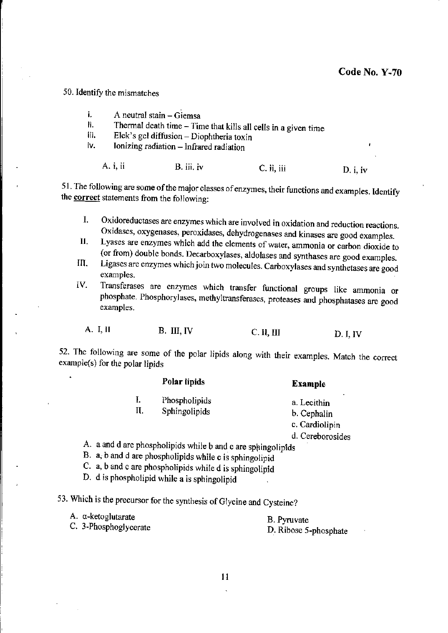50. Identify the mismatches

- i. A neutral stain - Giemsa
- Thermal death time Time that kills all cells in a given time ii.
- iii. Elek's gel diffusion – Diophtheria toxin
- iv. Ionizing radiation - Infrared radiation

A. *i*, *ii* B. iii. iv C. ii, iii D. i, iv

51. The following are some of the major classes of enzymes, their functions and examples. Identify the correct statements from the following:

- Oxidoreductases are enzymes which are involved in oxidation and reduction reactions. Ι. Oxidases, oxygenases, peroxidases, dehydrogenases and kinases are good examples.
- Lyases are enzymes which add the elements of water, ammonia or carbon dioxide to П. (or from) double bonds. Decarboxylases, aldolases and synthases are good examples.
- Ligases are enzymes which join two molecules. Carboxylases and synthetases are good III. examples.
- Transferases are enzymes which transfer functional groups like ammonia or IV. phosphate. Phosphorylases, methyltransferases, proteases and phosphatases are good examples.

A. I. II B. III, IV  $C.$  II,  $III$  $D. I, IV$ 

52. The following are some of the polar lipids along with their examples. Match the correct example(s) for the polar lipids

|                                            | Polar lipids | <b>Example</b>   |
|--------------------------------------------|--------------|------------------|
| Phospholipids<br>ı.<br>Ц.<br>Sphingolipids |              | a. Lecithin      |
|                                            | b. Cephalin  |                  |
|                                            |              | c. Cardiolipin   |
|                                            |              | d. Cereborosides |

A. a and d are phospholipids while b and c are sphingolipids

B. a, b and d are phospholipids while c is sphingolipid

C. a, b and c are phospholipids while d is sphingolipid

D. d is phospholipid while a is sphingolipid

53. Which is the precursor for the synthesis of Glycine and Cysteine?

A. a-ketoglutarate

C. 3-Phosphoglycerate

**B.** Pyruvate D. Ribose 5-phosphate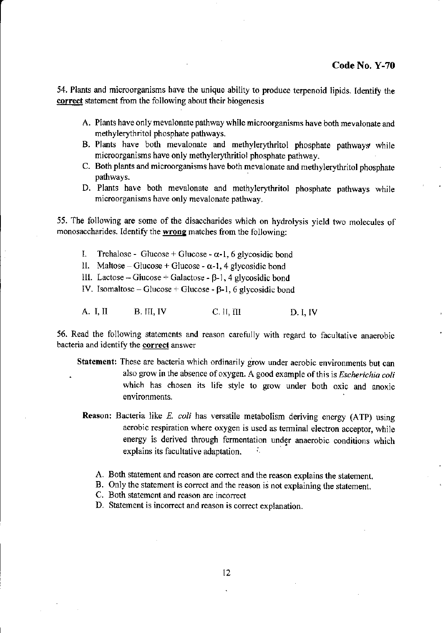54. Plants and microorganisms have the unique ability to produce terpenoid lipids. tdentiry the correct statement from the following about their biogenesis

- A. Plants have only mevalonate pathway while microorganisms have both mevalonate and methylerythritol phosphate pathways.
- B. Plants have both mevalonate and methylerythritol phosphate pathways while microorganisms have only methylerythritiol phosphate pathway.
- C. Both plants and microorganisms have both mevalonate and methylerythritol phosphate pathways.
- D. Plants have both mevalonate and methylerythritol phosphate pathways while microorganisms have only mevalonate pathway.

55. The following are some of the disaccharides which on hydrolysis yield two molecules of monosaccharides. Identify the wrong matches from the following:

- 1. Trehalose Glucose + Glucose  $\alpha$ -1, 6 glycosidic bond
- ll. Maltose Glucose + Glucose  $\alpha$ -1,4 glycosidic bond
- lll. Lactose Glucose + Galactose  $\beta$ -1, 4 glycosidic bond
- IV. Isomaltose Glucose + Glucose  $\beta$ -1, 6 glycosidic bond

A. I, II B. III, IV C. II, III D. I, IV

56. Read the following statements and reason carefully with regard to facultative anaerobic bacteria and identify the correct answer

- Statement: These are bacteria which ordinarily grow under aerobic environments but can also grow in the absence of oxygen. A good example of this is *Escherichia coli* which has chosen its life style to grow under both oxic and anoxic environments.
	- Reason: Bacteria like E. coli has versatile metabolism deriving energy (ATP) using aerobic respiration where oxygen is used as terminal electron acceptor, while energy is derived through fermentation under anaerobic conditions which explains its facultative adaptation.
		- A. Both statement and reason are correct and the reason explains the statement.
		- B. Only the statement is correct and the reason is not explaining the statement.

C. Both statement and reason are incorrect

D. Statement is incorrect and reason is correct explanation.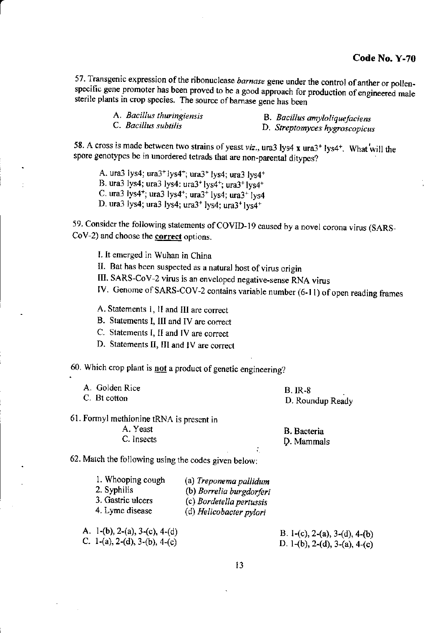57. Transgenic expression of the ribonuclease barnase gene under the control of anther or pollenspecific gene promoter has been proved to be a good approach for production of engineered male sterile plants in crop species. The source of barnase gene has been

| A. Bacillus thuringiensis |  |
|---------------------------|--|
| C. Bacillus subtilis      |  |

B. Bacillus amyloliquefaciens

D. Streptomyces hygroscopicus

58. A cross is made between two strains of yeast viz., ura3 lys4 x ura3<sup>+</sup> lys4<sup>+</sup>. What will the spore genotypes be in unordered tetrads that are non-parentai ditypes?

A. ura3 lys4;  $ura3$ <sup>+</sup> lys4<sup>+</sup>;  $ura3$ <sup>+</sup> lys4;  $ura3$  lys4<sup>+</sup> B. ura3 lys4; ura3 lys4: ura3+lys4+; ura3+ lys4+ C. ura3 lys4<sup>+</sup>; ura3 lys4<sup>+</sup>; ura3<sup>+</sup> lys4; ura3<sup>+</sup> lys4 D. ura3 lys4; ura3 lys4; ura3+ 1ys4; ura3+lys4\*

59. Consider the following statements of COVID-19 caused by a novel corona virus (SARS- $CoV-2$ ) and choose the **correct** options.

L It emerged in Wuhan in China

II. Bat has been suspected as a natural host of virus origin

III. SARS-CoV-2 virus is an enveloped negative\_sense RNA virus

IV. Genome of SARS-COV-2 contains variable number (6-11) of open reading frames

.

A. Statements l, II and III are correct

B. Statements I, III and IV are correct

C. Statements l, II and IV are correct

D. Statements II, III and lV are corect

60. Which crop plant is not a product of genetic engineering?

| A. Golden Rice | <b>B.</b> IR-8   |
|----------------|------------------|
| C. Bt cotton   | D. Roundup Ready |

61. Formyl methionine tRNA is present in

A. Yeast C. Insects

B. Bacteria p. Mammals

62. Match the following using the codes given below:

| 1. Whooping cough | (a) Treponema pallidum   |
|-------------------|--------------------------|
| 2. Syphilis       | (b) Borrelia burgdorferi |
| 3. Gastric ulcers | (c) Bordetella pertussis |
| 4. Lyme disease   | (d) Helicobacter pylori  |
|                   |                          |

c. l-(a), 2-(d), 3-(b), a-(c) A.  $1-(b)$ ,  $2-(a)$ ,  $3-(c)$ ,  $4-(d)$ 

B. 1-(c), 2-(a), 3-(d), 4-(b) D. 1-(b), 2-(d), 3-(a), 4-(c)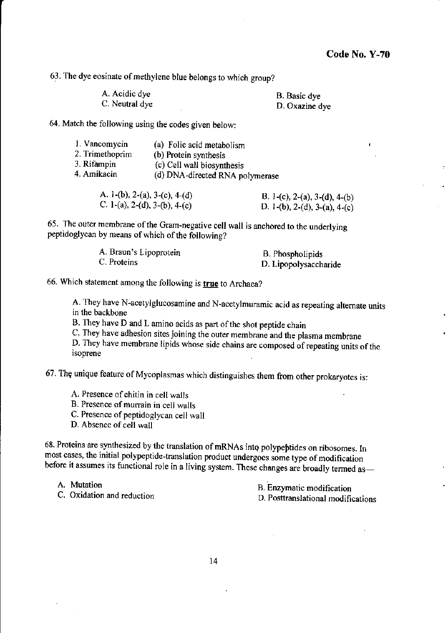$\lambda$ 

63. The dye eosinate of methylene blue belongs to which group?

| A. Acidic dye  | B. Basic dye   |
|----------------|----------------|
| C. Neutral dye | D. Oxazine dye |

64. Match the following using the codes given below:

| 1. Vancomycin<br>2. Trimethoprim<br>3. Rifampin<br>4. Amikacin | (a) Folic acid metabolism<br>(b) Protein synthesis<br>(c) Cell wall biosynthesis |
|----------------------------------------------------------------|----------------------------------------------------------------------------------|
|                                                                | (d) DNA-directed RNA polymerase                                                  |

| A. 1-(b), 2-(a), 3-(c), 4-(d)<br>C. 1-(a), 2-(d), 3-(b), 4-(c) | B. 1-(c), 2-(a), 3-(d), 4-(b) |
|----------------------------------------------------------------|-------------------------------|
|                                                                | D. 1-(b), 2-(d), 3-(a), 4-(c) |

65. The outer membrane of the Gram-negative cell wall is anchored to the underlying peptidoglycan by means of which of the following?

| A. Braun's Lipoprotein | B. Phospholipids      |
|------------------------|-----------------------|
| C. Proteins            | D. Lipopolysaccharide |

66. Which statement among the following is true to Archaea?

A. They have N-acetylglucosamine and N-acetylmuramic acid as repeating altemate units in the backbone

B. They have D and L amino acids as part of the shot peptide chain

C. They have adhesion sites joining the outer membrane and the plasma membrane

D. They have membrane lipids whose side chains are composed of repeating units of the isoprene

67. The unique feature of Mycoplasmas which distinguishes them from other prokaryotes is:

A. Presence of chitin in cell walls

B. Presence of murrain in cell walls

C. Presence of peptidoglycan cell wall

D. Absence of cell wall

68. Proteins are synthesized by the translation of mRNAs into polypeptides on ribosomes. In most cases, the initial polypeptide-translation product undergoes some type of modification before it assumes its functional role in a living system. These changes are broadly termed as-

A. Mutation

c. Oxidation and reduction

B. Enzymatic modification D. Posttranslational modifications